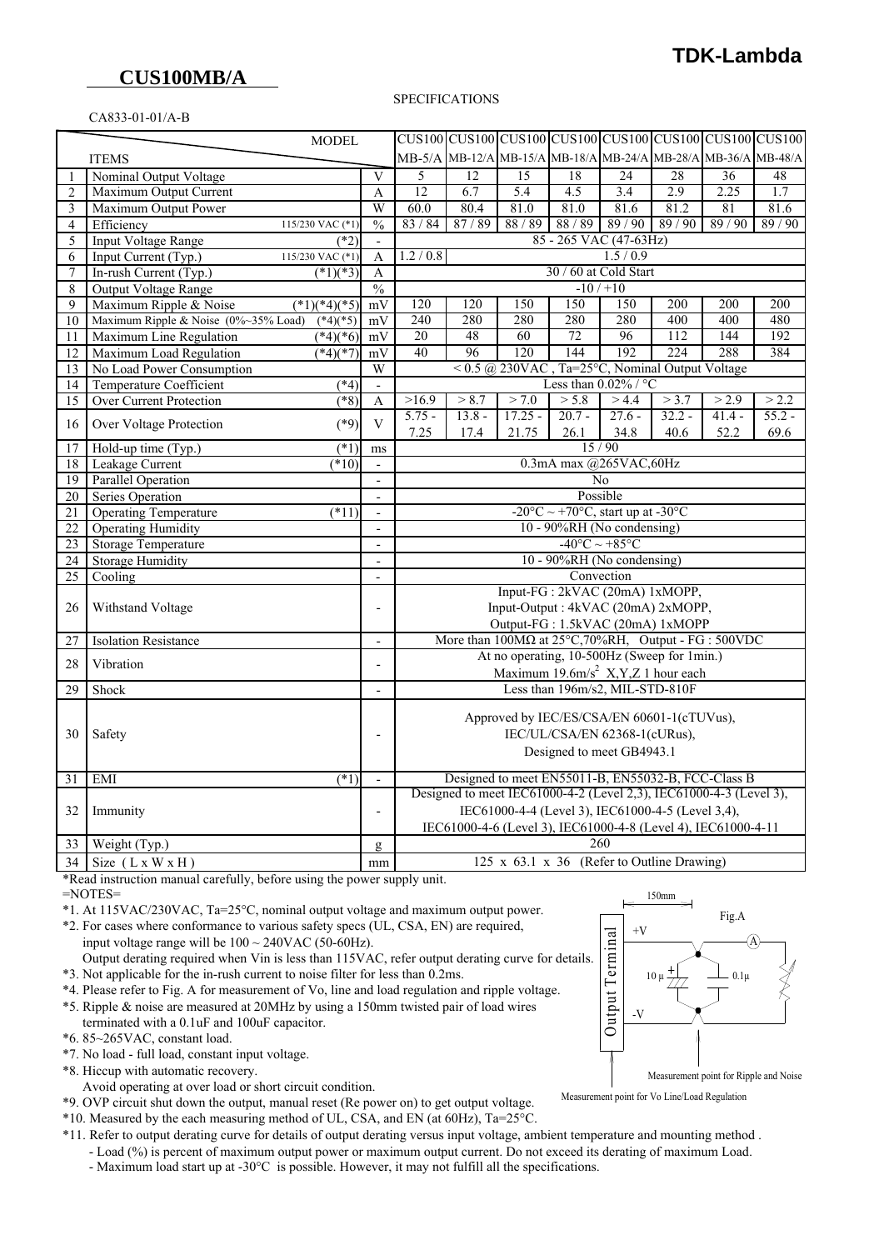# **CUS100MB/A**

CA833-01-01/A-B

#### SPECIFICATIONS

| CUS100 CUS100 CUS100 CUS100 CUS100 CUS100 CUS100 CUS100 |                                                    |                                                  |                                                                                          |                                                                                                                          |                 |                                                                |                 |          |          |          |  |
|---------------------------------------------------------|----------------------------------------------------|--------------------------------------------------|------------------------------------------------------------------------------------------|--------------------------------------------------------------------------------------------------------------------------|-----------------|----------------------------------------------------------------|-----------------|----------|----------|----------|--|
| <b>MODEL</b>                                            |                                                    |                                                  |                                                                                          |                                                                                                                          |                 |                                                                |                 |          |          |          |  |
| <b>ITEMS</b>                                            |                                                    |                                                  |                                                                                          |                                                                                                                          |                 | MB-5/A MB-12/A MB-15/A MB-18/A MB-24/A MB-28/A MB-36/A MB-48/A |                 |          |          |          |  |
| $\mathbf{1}$                                            | Nominal Output Voltage                             | $\mathbf{V}$                                     | 5                                                                                        | $\overline{12}$                                                                                                          | $\overline{15}$ | 18                                                             | $\overline{24}$ | 28       | 36       | 48       |  |
| 2                                                       | Maximum Output Current                             | A                                                | $\overline{12}$                                                                          | 6.7                                                                                                                      | 5.4             | 4.5                                                            | 3.4             | 2.9      | 2.25     | 1.7      |  |
| 3                                                       | Maximum Output Power                               | W                                                | 60.0                                                                                     | 80.4                                                                                                                     | 81.0            | 81.0                                                           | 81.6            | 81.2     | 81       | 81.6     |  |
| 4                                                       | Efficiency<br>115/230 VAC (*1)                     | $\frac{0}{0}$                                    | 83/84                                                                                    | 87/89                                                                                                                    | 88/89           | 88/89                                                          | 89/90           | 89/90    | 89/90    | 89/90    |  |
| 5                                                       | <b>Input Voltage Range</b>                         | $(*2)$<br>$\overline{\phantom{a}}$               |                                                                                          | 85 - 265 VAC (47-63Hz)                                                                                                   |                 |                                                                |                 |          |          |          |  |
| 6                                                       | Input Current (Typ.)<br>$115/230$ VAC (*1)         | A                                                |                                                                                          | 1.2 / 0.8<br>1.5/0.9                                                                                                     |                 |                                                                |                 |          |          |          |  |
| 7                                                       | $(*1)(*3)$<br>In-rush Current (Typ.)               | $\overline{A}$                                   |                                                                                          | 30 / 60 at Cold Start                                                                                                    |                 |                                                                |                 |          |          |          |  |
| 8                                                       | Output Voltage Range                               | $\frac{0}{0}$                                    | $-10/110$                                                                                |                                                                                                                          |                 |                                                                |                 |          |          |          |  |
| 9                                                       | Maximum Ripple & Noise<br>$(*1)(*4)(*5)$           | mV                                               | 120                                                                                      | 120                                                                                                                      | 150             | 150                                                            | 150             | 200      | 200      | 200      |  |
| 10                                                      | Maximum Ripple & Noise (0%~35% Load)<br>$(*4)(*5)$ | mV                                               | 240                                                                                      | 280                                                                                                                      | 280             | 280                                                            | 280             | 400      | 400      | 480      |  |
| 11                                                      | Maximum Line Regulation<br>$\sqrt{(4)}$ (*6)       | mV                                               | 20                                                                                       | 48                                                                                                                       | 60              | 72                                                             | 96              | 112      | 144      | 192      |  |
| 12                                                      | Maximum Load Regulation<br>$(*4)(*7)$              | mV                                               | 40                                                                                       | $\overline{96}$                                                                                                          | 120             | 144                                                            | 192             | 224      | 288      | 384      |  |
| 13                                                      | No Load Power Consumption                          | $\overline{W}$                                   |                                                                                          | $< 0.5$ @ 230VAC, Ta=25°C, Nominal Output Voltage                                                                        |                 |                                                                |                 |          |          |          |  |
| 14                                                      | <b>Temperature Coefficient</b>                     | $(*4)$<br>$\overline{\phantom{a}}$               | Less than $0.02\%$ / °C                                                                  |                                                                                                                          |                 |                                                                |                 |          |          |          |  |
| 15                                                      | <b>Over Current Protection</b>                     | $(*8)$<br>$\overline{A}$                         | >16.9                                                                                    | > 8.7                                                                                                                    | > 7.0           | > 5.8                                                          | > 4.4           | > 3.7    | > 2.9    | > 2.2    |  |
| 16                                                      | Over Voltage Protection                            | $\overline{V}$<br>$(*9)$                         | $5.75 -$                                                                                 | $13.8 -$                                                                                                                 | $17.25 -$       | $20.7 -$                                                       | $27.6 -$        | $32.2 -$ | $41.4 -$ | $55.2 -$ |  |
|                                                         |                                                    |                                                  | 7.25                                                                                     | 17.4                                                                                                                     | 21.75           | 26.1                                                           | 34.8            | 40.6     | 52.2     | 69.6     |  |
| 17                                                      | Hold-up time (Typ.)                                | $(*1)$<br>ms                                     | 15/90                                                                                    |                                                                                                                          |                 |                                                                |                 |          |          |          |  |
| 18                                                      | $\sqrt{10}$<br>Leakage Current                     | $\overline{\phantom{a}}$                         | 0.3mA max @265VAC,60Hz                                                                   |                                                                                                                          |                 |                                                                |                 |          |          |          |  |
| 19                                                      | Parallel Operation                                 | $\overline{a}$                                   | No                                                                                       |                                                                                                                          |                 |                                                                |                 |          |          |          |  |
| 20                                                      | Series Operation                                   | $\overline{\phantom{a}}$                         | Possible                                                                                 |                                                                                                                          |                 |                                                                |                 |          |          |          |  |
| 21                                                      | <b>Operating Temperature</b><br>$(*11)$            | $\overline{\phantom{a}}$                         |                                                                                          | -20°C ~ +70°C, start up at -30°C                                                                                         |                 |                                                                |                 |          |          |          |  |
| 22                                                      | <b>Operating Humidity</b>                          | $\blacksquare$                                   |                                                                                          | 10 - 90%RH (No condensing)                                                                                               |                 |                                                                |                 |          |          |          |  |
| 23                                                      | <b>Storage Temperature</b>                         | $\overline{a}$                                   |                                                                                          | $-40^{\circ}$ C ~ +85 $^{\circ}$ C                                                                                       |                 |                                                                |                 |          |          |          |  |
| 24                                                      | <b>Storage Humidity</b>                            | $\overline{a}$                                   | $10 - 90\% RH$ (No condensing)                                                           |                                                                                                                          |                 |                                                                |                 |          |          |          |  |
| $\overline{25}$                                         | Cooling                                            | Convection                                       |                                                                                          |                                                                                                                          |                 |                                                                |                 |          |          |          |  |
| 26                                                      | Withstand Voltage                                  |                                                  | Input-FG: 2kVAC (20mA) 1xMOPP,                                                           |                                                                                                                          |                 |                                                                |                 |          |          |          |  |
|                                                         |                                                    |                                                  | Input-Output: 4kVAC (20mA) 2xMOPP,<br>$\overline{a}$<br>Output-FG: 1.5kVAC (20mA) 1xMOPP |                                                                                                                          |                 |                                                                |                 |          |          |          |  |
| 27                                                      | <b>Isolation Resistance</b>                        | $\overline{a}$                                   |                                                                                          | More than $100M\Omega$ at $25^{\circ}$ C, 70%RH, Output - FG : 500VDC                                                    |                 |                                                                |                 |          |          |          |  |
|                                                         |                                                    |                                                  |                                                                                          | At no operating, 10-500Hz (Sweep for 1min.)                                                                              |                 |                                                                |                 |          |          |          |  |
| 28                                                      | Vibration                                          | $\overline{a}$                                   |                                                                                          | Maximum 19.6m/s <sup>2</sup> X,Y,Z 1 hour each                                                                           |                 |                                                                |                 |          |          |          |  |
| 29                                                      | Shock                                              |                                                  |                                                                                          | Less than 196m/s2, MIL-STD-810F                                                                                          |                 |                                                                |                 |          |          |          |  |
|                                                         |                                                    |                                                  |                                                                                          |                                                                                                                          |                 |                                                                |                 |          |          |          |  |
|                                                         | Safety                                             |                                                  |                                                                                          |                                                                                                                          |                 | Approved by IEC/ES/CSA/EN 60601-1(cTUVus),                     |                 |          |          |          |  |
| 30                                                      |                                                    |                                                  | IEC/UL/CSA/EN 62368-1(cURus),<br>$\overline{\phantom{0}}$                                |                                                                                                                          |                 |                                                                |                 |          |          |          |  |
|                                                         |                                                    |                                                  |                                                                                          | Designed to meet GB4943.1                                                                                                |                 |                                                                |                 |          |          |          |  |
|                                                         |                                                    |                                                  |                                                                                          |                                                                                                                          |                 |                                                                |                 |          |          |          |  |
| 31                                                      | <b>EMI</b>                                         | $(*1)$                                           |                                                                                          | Designed to meet EN55011-B, EN55032-B, FCC-Class B<br>Designed to meet IEC61000-4-2 (Level 2,3), IEC61000-4-3 (Level 3), |                 |                                                                |                 |          |          |          |  |
| 32                                                      | Immunity                                           |                                                  |                                                                                          |                                                                                                                          |                 |                                                                |                 |          |          |          |  |
|                                                         |                                                    |                                                  |                                                                                          | IEC61000-4-4 (Level 3), IEC61000-4-5 (Level 3,4),                                                                        |                 |                                                                |                 |          |          |          |  |
|                                                         |                                                    |                                                  |                                                                                          | IEC61000-4-6 (Level 3), IEC61000-4-8 (Level 4), IEC61000-4-11                                                            |                 |                                                                |                 |          |          |          |  |
| 33                                                      | Weight (Typ.)                                      | g                                                |                                                                                          | 260                                                                                                                      |                 |                                                                |                 |          |          |          |  |
| 34                                                      | Size $(L x W x H)$                                 | 125 x 63.1 x 36 (Refer to Outline Drawing)<br>mm |                                                                                          |                                                                                                                          |                 |                                                                |                 |          |          |          |  |

 \*Read instruction manual carefully, before using the power supply unit.  $=$ NOTES=

- \*1. At 115VAC/230VAC, Ta=25°C, nominal output voltage and maximum output power.
- \*2. For cases where conformance to various safety specs (UL, CSA, EN) are required, input voltage range will be  $100 \sim 240 \text{VAC}$  (50-60Hz).
- Output derating required when Vin is less than 115VAC, refer output derating curve for details. \*3. Not applicable for the in-rush current to noise filter for less than 0.2ms.
- 
- \*4. Please refer to Fig. A for measurement of Vo, line and load regulation and ripple voltage. \*5. Ripple & noise are measured at 20MHz by using a 150mm twisted pair of load wires
- terminated with a 0.1uF and 100uF capacitor.
- \*6. 85~265VAC, constant load.
- \*7. No load full load, constant input voltage.
- \*8. Hiccup with automatic recovery.
- Avoid operating at over load or short circuit condition.
- \*9. OVP circuit shut down the output, manual reset (Re power on) to get output voltage.
- \*10. Measured by the each measuring method of UL, CSA, and EN (at 60Hz), Ta=25°C.
- \*11. Refer to output derating curve for details of output derating versus input voltage, ambient temperature and mounting method .
	- Load (%) is percent of maximum output power or maximum output current. Do not exceed its derating of maximum Load.
	- Maximum load start up at -30°C is possible. However, it may not fulfill all the specifications.

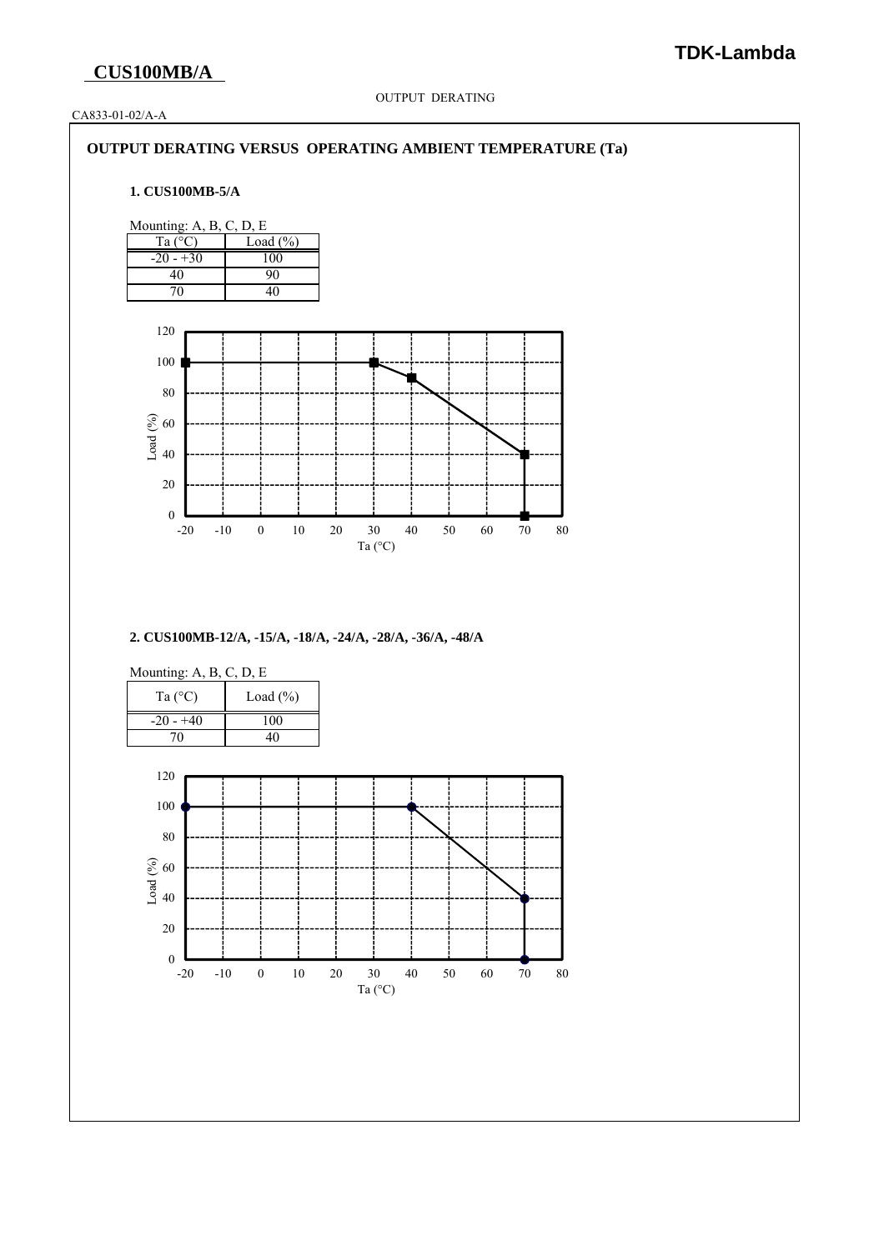OUTPUT DERATING

CA833-01-02/A-A

### **OUTPUT DERATING VERSUS OPERATING AMBIENT TEMPERATURE (Ta)**

#### **1. CUS100MB-5/A**



**2. CUS100MB-12/A, -15/A, -18/A, -24/A, -28/A, -36/A, -48/A**